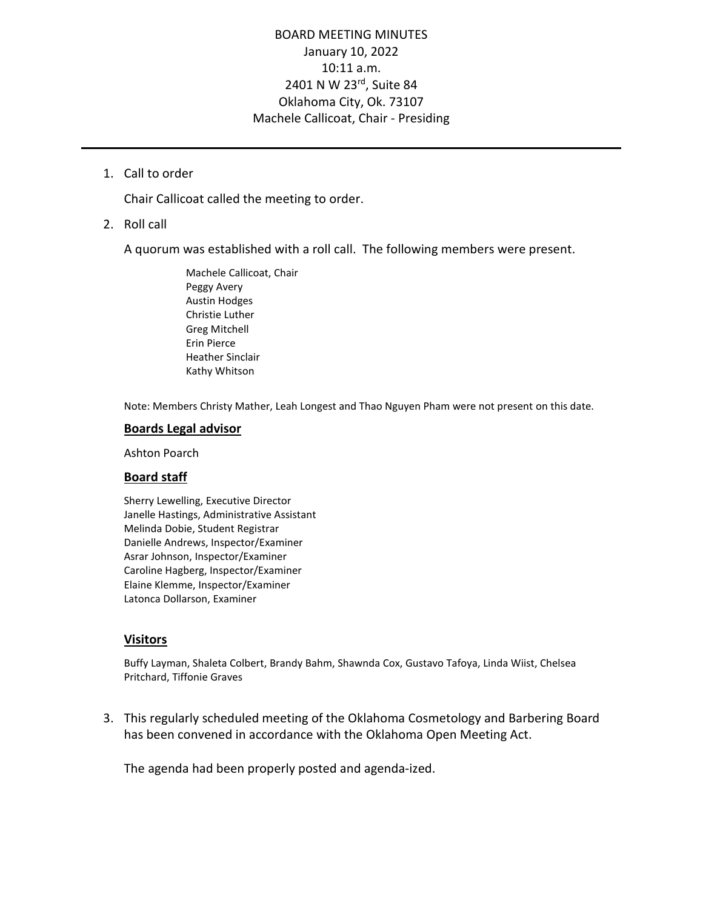# BOARD MEETING MINUTES January 10, 2022 10:11 a.m. 2401 N W 23rd, Suite 84 Oklahoma City, Ok. 73107 Machele Callicoat, Chair - Presiding

1. Call to order

Chair Callicoat called the meeting to order.

2. Roll call

A quorum was established with a roll call. The following members were present.

Machele Callicoat, Chair Peggy Avery Austin Hodges Christie Luther Greg Mitchell Erin Pierce Heather Sinclair Kathy Whitson

Note: Members Christy Mather, Leah Longest and Thao Nguyen Pham were not present on this date.

### **Boards Legal advisor**

Ashton Poarch

# **Board staff**

Sherry Lewelling, Executive Director Janelle Hastings, Administrative Assistant Melinda Dobie, Student Registrar Danielle Andrews, Inspector/Examiner Asrar Johnson, Inspector/Examiner Caroline Hagberg, Inspector/Examiner Elaine Klemme, Inspector/Examiner Latonca Dollarson, Examiner

# **Visitors**

Buffy Layman, Shaleta Colbert, Brandy Bahm, Shawnda Cox, Gustavo Tafoya, Linda Wiist, Chelsea Pritchard, Tiffonie Graves

3. This regularly scheduled meeting of the Oklahoma Cosmetology and Barbering Board has been convened in accordance with the Oklahoma Open Meeting Act.

The agenda had been properly posted and agenda-ized.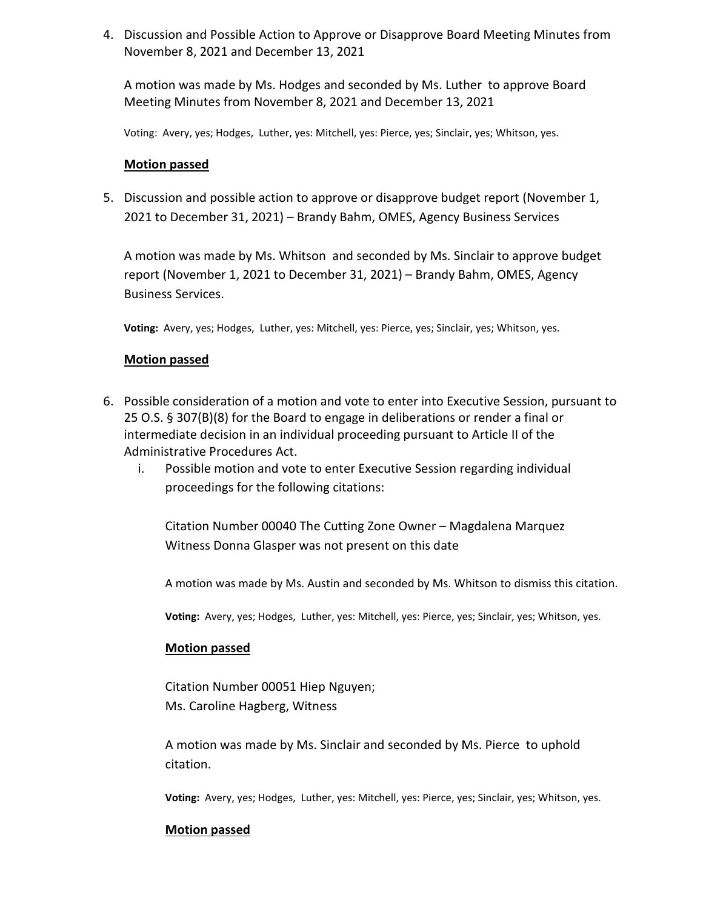4. Discussion and Possible Action to Approve or Disapprove Board Meeting Minutes from November 8, 2021 and December 13, 2021

A motion was made by Ms. Hodges and seconded by Ms. Luther to approve Board Meeting Minutes from November 8, 2021 and December 13, 2021

Voting: Avery, yes; Hodges, Luther, yes: Mitchell, yes: Pierce, yes; Sinclair, yes; Whitson, yes.

# **Motion passed**

5. Discussion and possible action to approve or disapprove budget report (November 1, 2021 to December 31, 2021) – Brandy Bahm, OMES, Agency Business Services

A motion was made by Ms. Whitson and seconded by Ms. Sinclair to approve budget report (November 1, 2021 to December 31, 2021) – Brandy Bahm, OMES, Agency Business Services.

**Voting:** Avery, yes; Hodges, Luther, yes: Mitchell, yes: Pierce, yes; Sinclair, yes; Whitson, yes.

# **Motion passed**

- 6. Possible consideration of a motion and vote to enter into Executive Session, pursuant to 25 O.S. § 307(B)(8) for the Board to engage in deliberations or render a final or intermediate decision in an individual proceeding pursuant to Article II of the Administrative Procedures Act.
	- i. Possible motion and vote to enter Executive Session regarding individual proceedings for the following citations:

Citation Number 00040 The Cutting Zone Owner – Magdalena Marquez Witness Donna Glasper was not present on this date

A motion was made by Ms. Austin and seconded by Ms. Whitson to dismiss this citation.

**Voting:** Avery, yes; Hodges, Luther, yes: Mitchell, yes: Pierce, yes; Sinclair, yes; Whitson, yes.

# **Motion passed**

Citation Number 00051 Hiep Nguyen; Ms. Caroline Hagberg, Witness

A motion was made by Ms. Sinclair and seconded by Ms. Pierce to uphold citation.

**Voting:** Avery, yes; Hodges, Luther, yes: Mitchell, yes: Pierce, yes; Sinclair, yes; Whitson, yes.

# **Motion passed**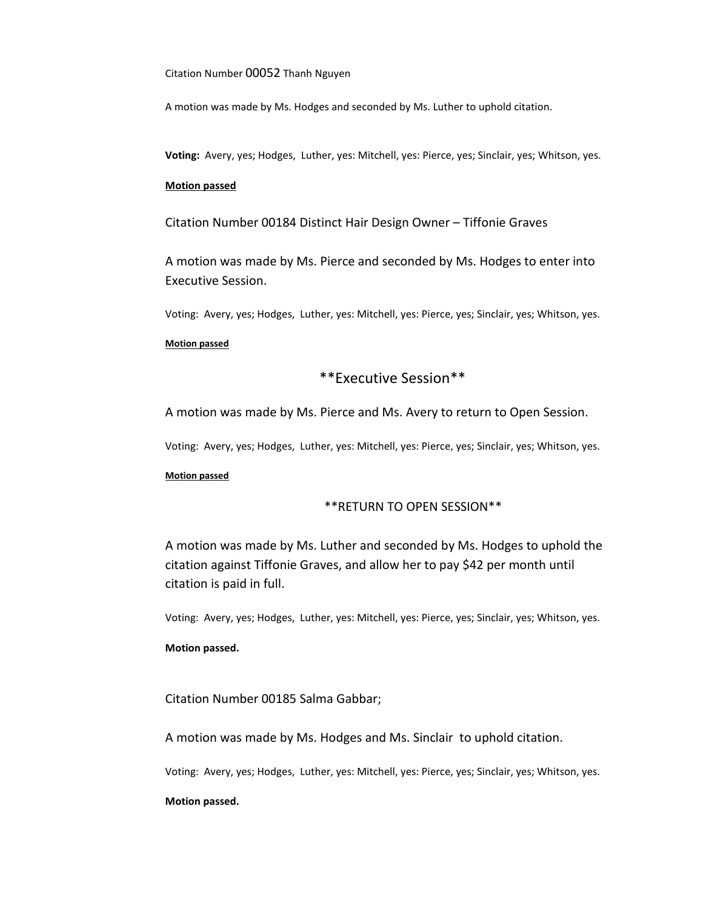Citation Number 00052 Thanh Nguyen

A motion was made by Ms. Hodges and seconded by Ms. Luther to uphold citation.

**Voting:** Avery, yes; Hodges, Luther, yes: Mitchell, yes: Pierce, yes; Sinclair, yes; Whitson, yes.

# **Motion passed**

Citation Number 00184 Distinct Hair Design Owner – Tiffonie Graves

A motion was made by Ms. Pierce and seconded by Ms. Hodges to enter into Executive Session.

Voting: Avery, yes; Hodges, Luther, yes: Mitchell, yes: Pierce, yes; Sinclair, yes; Whitson, yes.

#### **Motion passed**

# \*\*Executive Session\*\*

A motion was made by Ms. Pierce and Ms. Avery to return to Open Session.

Voting: Avery, yes; Hodges, Luther, yes: Mitchell, yes: Pierce, yes; Sinclair, yes; Whitson, yes.

#### **Motion passed**

# \*\*RETURN TO OPEN SESSION\*\*

A motion was made by Ms. Luther and seconded by Ms. Hodges to uphold the citation against Tiffonie Graves, and allow her to pay \$42 per month until citation is paid in full.

Voting: Avery, yes; Hodges, Luther, yes: Mitchell, yes: Pierce, yes; Sinclair, yes; Whitson, yes.

#### **Motion passed.**

Citation Number 00185 Salma Gabbar;

A motion was made by Ms. Hodges and Ms. Sinclair to uphold citation.

Voting: Avery, yes; Hodges, Luther, yes: Mitchell, yes: Pierce, yes; Sinclair, yes; Whitson, yes.

#### **Motion passed.**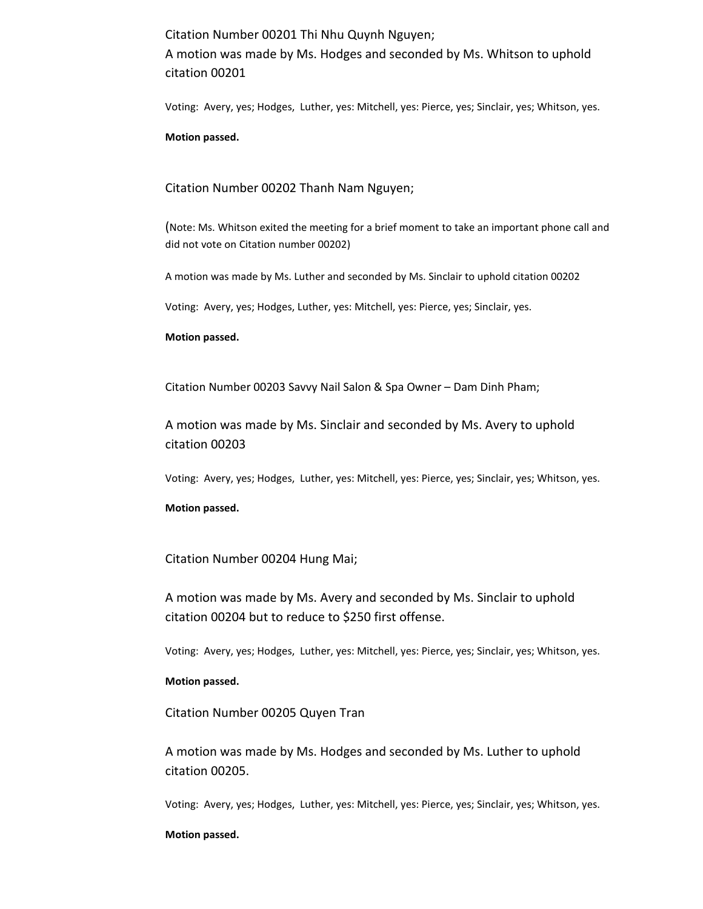Citation Number 00201 Thi Nhu Quynh Nguyen;

A motion was made by Ms. Hodges and seconded by Ms. Whitson to uphold citation 00201

Voting: Avery, yes; Hodges, Luther, yes: Mitchell, yes: Pierce, yes; Sinclair, yes; Whitson, yes.

#### **Motion passed.**

# Citation Number 00202 Thanh Nam Nguyen;

(Note: Ms. Whitson exited the meeting for a brief moment to take an important phone call and did not vote on Citation number 00202)

A motion was made by Ms. Luther and seconded by Ms. Sinclair to uphold citation 00202

Voting: Avery, yes; Hodges, Luther, yes: Mitchell, yes: Pierce, yes; Sinclair, yes.

### **Motion passed.**

Citation Number 00203 Savvy Nail Salon & Spa Owner – Dam Dinh Pham;

A motion was made by Ms. Sinclair and seconded by Ms. Avery to uphold citation 00203

Voting: Avery, yes; Hodges, Luther, yes: Mitchell, yes: Pierce, yes; Sinclair, yes; Whitson, yes.

# **Motion passed.**

# Citation Number 00204 Hung Mai;

A motion was made by Ms. Avery and seconded by Ms. Sinclair to uphold citation 00204 but to reduce to \$250 first offense.

Voting: Avery, yes; Hodges, Luther, yes: Mitchell, yes: Pierce, yes; Sinclair, yes; Whitson, yes.

# **Motion passed.**

Citation Number 00205 Quyen Tran

A motion was made by Ms. Hodges and seconded by Ms. Luther to uphold citation 00205.

Voting: Avery, yes; Hodges, Luther, yes: Mitchell, yes: Pierce, yes; Sinclair, yes; Whitson, yes.

#### **Motion passed.**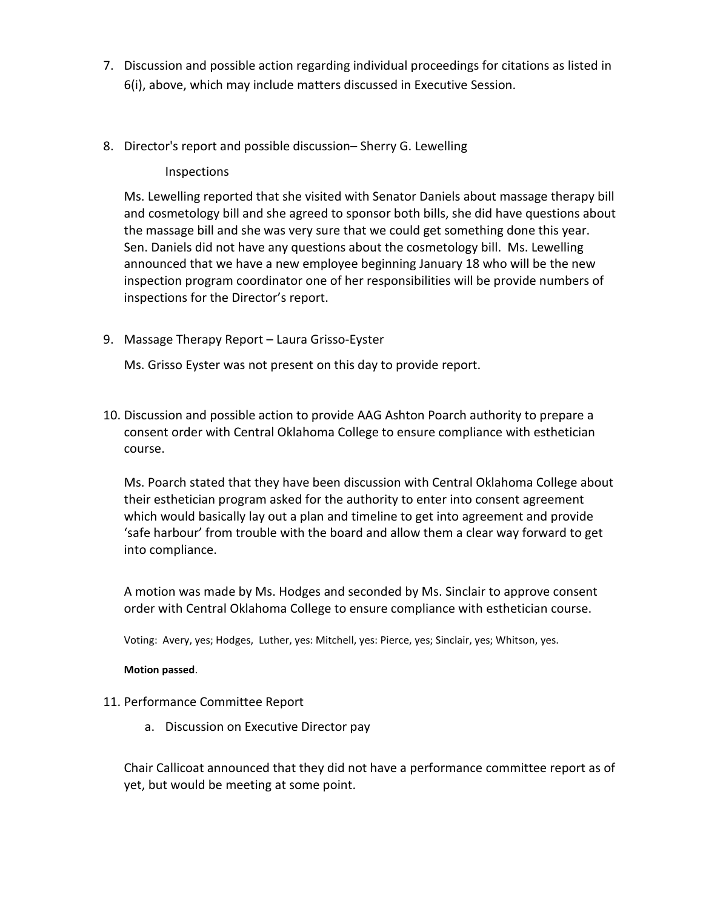- 7. Discussion and possible action regarding individual proceedings for citations as listed in 6(i), above, which may include matters discussed in Executive Session.
- 8. Director's report and possible discussion– Sherry G. Lewelling

# Inspections

Ms. Lewelling reported that she visited with Senator Daniels about massage therapy bill and cosmetology bill and she agreed to sponsor both bills, she did have questions about the massage bill and she was very sure that we could get something done this year. Sen. Daniels did not have any questions about the cosmetology bill. Ms. Lewelling announced that we have a new employee beginning January 18 who will be the new inspection program coordinator one of her responsibilities will be provide numbers of inspections for the Director's report.

9. Massage Therapy Report – Laura Grisso-Eyster

Ms. Grisso Eyster was not present on this day to provide report.

10. Discussion and possible action to provide AAG Ashton Poarch authority to prepare a consent order with Central Oklahoma College to ensure compliance with esthetician course.

Ms. Poarch stated that they have been discussion with Central Oklahoma College about their esthetician program asked for the authority to enter into consent agreement which would basically lay out a plan and timeline to get into agreement and provide 'safe harbour' from trouble with the board and allow them a clear way forward to get into compliance.

A motion was made by Ms. Hodges and seconded by Ms. Sinclair to approve consent order with Central Oklahoma College to ensure compliance with esthetician course.

Voting: Avery, yes; Hodges, Luther, yes: Mitchell, yes: Pierce, yes; Sinclair, yes; Whitson, yes.

# **Motion passed**.

- 11. Performance Committee Report
	- a. Discussion on Executive Director pay

Chair Callicoat announced that they did not have a performance committee report as of yet, but would be meeting at some point.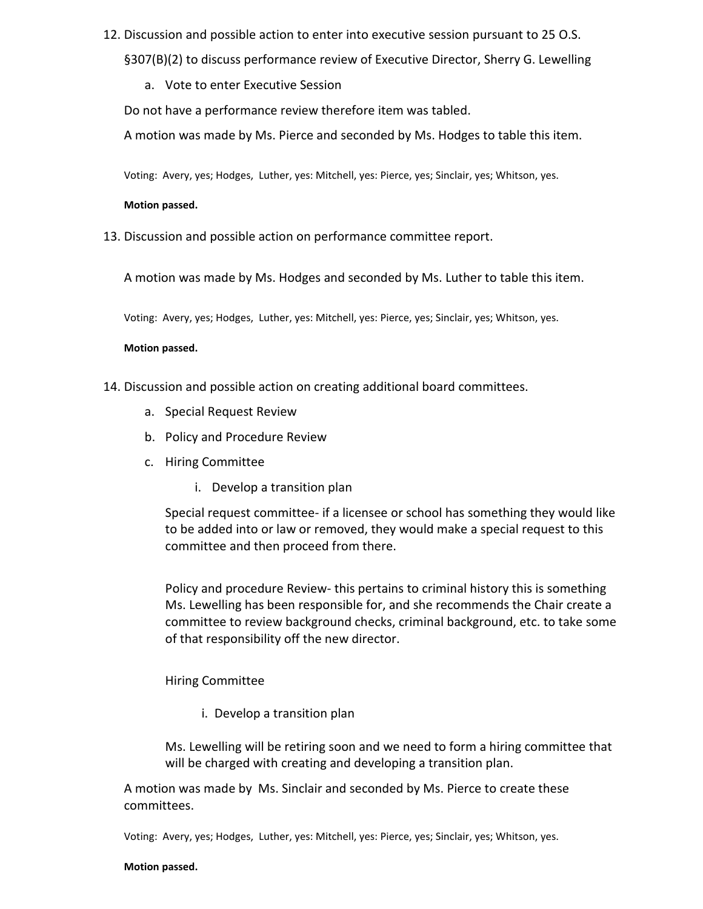- 12. Discussion and possible action to enter into executive session pursuant to 25 O.S. §307(B)(2) to discuss performance review of Executive Director, Sherry G. Lewelling
	- a. Vote to enter Executive Session

Do not have a performance review therefore item was tabled.

A motion was made by Ms. Pierce and seconded by Ms. Hodges to table this item.

Voting: Avery, yes; Hodges, Luther, yes: Mitchell, yes: Pierce, yes; Sinclair, yes; Whitson, yes.

# **Motion passed.**

13. Discussion and possible action on performance committee report.

A motion was made by Ms. Hodges and seconded by Ms. Luther to table this item.

Voting: Avery, yes; Hodges, Luther, yes: Mitchell, yes: Pierce, yes; Sinclair, yes; Whitson, yes.

# **Motion passed.**

- 14. Discussion and possible action on creating additional board committees.
	- a. Special Request Review
	- b. Policy and Procedure Review
	- c. Hiring Committee
		- i. Develop a transition plan

Special request committee- if a licensee or school has something they would like to be added into or law or removed, they would make a special request to this committee and then proceed from there.

Policy and procedure Review- this pertains to criminal history this is something Ms. Lewelling has been responsible for, and she recommends the Chair create a committee to review background checks, criminal background, etc. to take some of that responsibility off the new director.

# Hiring Committee

i. Develop a transition plan

Ms. Lewelling will be retiring soon and we need to form a hiring committee that will be charged with creating and developing a transition plan.

A motion was made by Ms. Sinclair and seconded by Ms. Pierce to create these committees.

Voting: Avery, yes; Hodges, Luther, yes: Mitchell, yes: Pierce, yes; Sinclair, yes; Whitson, yes.

#### **Motion passed.**